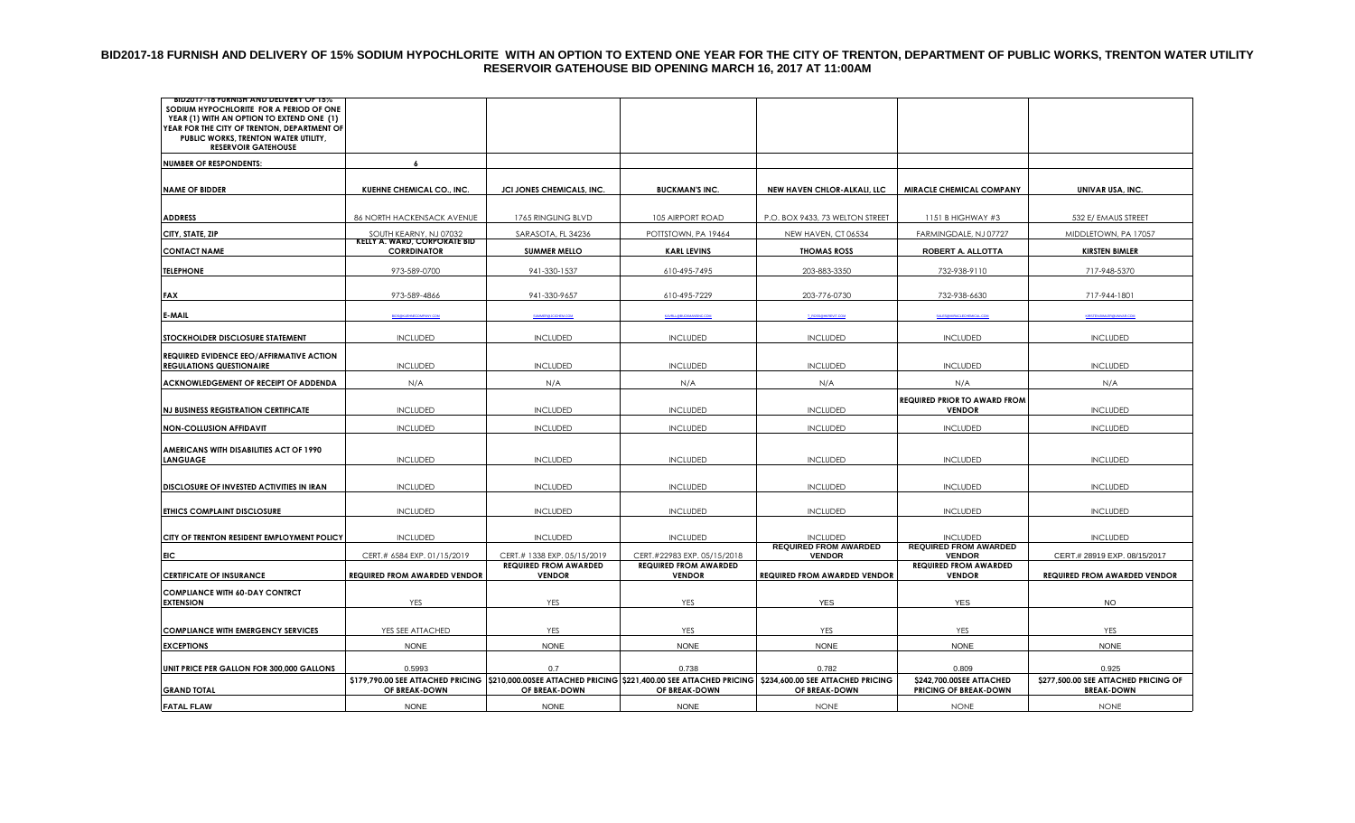#### **BID2017-18 FURNISH AND DELIVERY OF 15% SODIUM HYPOCHLORITE WITH AN OPTION TO EXTEND ONE YEAR FOR THE CITY OF TRENTON, DEPARTMENT OF PUBLIC WORKS, TRENTON WATER UTILITY RESERVOIR GATEHOUSE BID OPENING MARCH 16, 2017 AT 11:00AM**

| BID2017-18 FURNISH AND DELIVERY OF 15%<br>SODIUM HYPOCHLORITE FOR A PERIOD OF ONE<br>YEAR (1) WITH AN OPTION TO EXTEND ONE (1) |                                                           |                                                             |                                                             |                                                                                                                                                        |                                                 |                                      |
|--------------------------------------------------------------------------------------------------------------------------------|-----------------------------------------------------------|-------------------------------------------------------------|-------------------------------------------------------------|--------------------------------------------------------------------------------------------------------------------------------------------------------|-------------------------------------------------|--------------------------------------|
| YEAR FOR THE CITY OF TRENTON, DEPARTMENT OF<br>PUBLIC WORKS, TRENTON WATER UTILITY,<br><b>RESERVOIR GATEHOUSE</b>              |                                                           |                                                             |                                                             |                                                                                                                                                        |                                                 |                                      |
| <b>NUMBER OF RESPONDENTS:</b>                                                                                                  | $\overline{a}$                                            |                                                             |                                                             |                                                                                                                                                        |                                                 |                                      |
|                                                                                                                                |                                                           |                                                             |                                                             |                                                                                                                                                        |                                                 |                                      |
| <b>NAME OF BIDDER</b>                                                                                                          | KUEHNE CHEMICAL CO., INC.                                 | JCI JONES CHEMICALS, INC.                                   | <b>BUCKMAN'S INC.</b>                                       | NEW HAVEN CHLOR-ALKALI, LLC                                                                                                                            | MIRACLE CHEMICAL COMPANY                        | UNIVAR USA, INC.                     |
| <b>ADDRESS</b>                                                                                                                 | 86 NORTH HACKENSACK AVENUE                                | 1765 RINGLING BLVD                                          | 105 AIRPORT ROAD                                            | P.O. BOX 9433, 73 WELTON STREET                                                                                                                        | 1151 B HIGHWAY #3                               | 532 E/ EMAUS STREET                  |
| CITY, STATE, ZIP                                                                                                               | SOUTH KEARNY, NJ 07032                                    | SARASOTA, FL 34236                                          | POTTSTOWN, PA 19464                                         | NEW HAVEN, CT 06534                                                                                                                                    | FARMINGDALE, NJ 07727                           | MIDDLETOWN, PA 17057                 |
| <b>CONTACT NAME</b>                                                                                                            | <b>KELLY A. WARD, CORPORATE BID</b><br><b>CORRDINATOR</b> | <b>SUMMER MELLO</b>                                         | <b>KARL LEVINS</b>                                          | <b>THOMAS ROSS</b>                                                                                                                                     | ROBERT A. ALLOTTA                               | <b>KIRSTEN BIMLER</b>                |
| <b>TELEPHONE</b>                                                                                                               | 973-589-0700                                              | 941-330-1537                                                | 610-495-7495                                                | 203-883-3350                                                                                                                                           | 732-938-9110                                    | 717-948-5370                         |
| <b>FAX</b>                                                                                                                     | 973-589-4866                                              | 941-330-9657                                                | 610-495-7229                                                | 203-776-0730                                                                                                                                           | 732-938-6630                                    | 717-944-1801                         |
| <b>E-MAIL</b>                                                                                                                  | BIDS@KUEHNECOMPANY.COM                                    | <b>SUMMER@JCICHEM.COM</b>                                   | KAVRLL@BUCKMANSINC.COM                                      | T_ROSS@HKREVIT.COM                                                                                                                                     | SALES@MIRACLECHEMICAL.COM                       | KIRSTEN BIMLER GUNIVAR COM           |
| STOCKHOLDER DISCLOSURE STATEMENT                                                                                               | <b>INCLUDED</b>                                           | <b>INCLUDED</b>                                             | <b>INCLUDED</b>                                             | <b>INCLUDED</b>                                                                                                                                        | <b>INCLUDED</b>                                 | <b>INCLUDED</b>                      |
| REQUIRED EVIDENCE EEO/AFFIRMATIVE ACTION<br><b>REGULATIONS QUESTIONAIRE</b>                                                    | <b>INCLUDED</b>                                           | <b>INCLUDED</b>                                             | <b>INCLUDED</b>                                             | <b>INCLUDED</b>                                                                                                                                        | <b>INCLUDED</b>                                 | <b>INCLUDED</b>                      |
| ACKNOWLEDGEMENT OF RECEIPT OF ADDENDA                                                                                          | N/A                                                       | N/A                                                         | N/A                                                         | N/A                                                                                                                                                    | N/A                                             | N/A                                  |
|                                                                                                                                |                                                           |                                                             |                                                             |                                                                                                                                                        | <b>REQUIRED PRIOR TO AWARD FROM</b>             |                                      |
| <b>NJ BUSINESS REGISTRATION CERTIFICATE</b>                                                                                    | <b>INCLUDED</b>                                           | <b>INCLUDED</b>                                             | <b>INCLUDED</b>                                             | <b>INCLUDED</b>                                                                                                                                        | <b>VENDOR</b>                                   | <b>INCLUDED</b>                      |
| <b>NON-COLLUSION AFFIDAVIT</b>                                                                                                 | <b>INCLUDED</b>                                           | <b>INCLUDED</b>                                             | <b>INCLUDED</b>                                             | <b>INCLUDED</b>                                                                                                                                        | <b>INCLUDED</b>                                 | <b>INCLUDED</b>                      |
| AMERICANS WITH DISABILITIES ACT OF 1990                                                                                        |                                                           |                                                             |                                                             |                                                                                                                                                        |                                                 |                                      |
| <b>LANGUAGE</b>                                                                                                                | <b>INCLUDED</b>                                           | <b>INCLUDED</b>                                             | <b>INCLUDED</b>                                             | <b>INCLUDED</b>                                                                                                                                        | <b>INCLUDED</b>                                 | <b>INCLUDED</b>                      |
| DISCLOSURE OF INVESTED ACTIVITIES IN IRAN                                                                                      | <b>INCLUDED</b>                                           | <b>INCLUDED</b>                                             | <b>INCLUDED</b>                                             | <b>INCLUDED</b>                                                                                                                                        | <b>INCLUDED</b>                                 | <b>INCLUDED</b>                      |
|                                                                                                                                |                                                           |                                                             |                                                             |                                                                                                                                                        |                                                 |                                      |
| ETHICS COMPLAINT DISCLOSURE                                                                                                    | <b>INCLUDED</b>                                           | <b>INCLUDED</b>                                             | <b>INCLUDED</b>                                             | <b>INCLUDED</b>                                                                                                                                        | <b>INCLUDED</b>                                 | <b>INCLUDED</b>                      |
|                                                                                                                                |                                                           |                                                             |                                                             |                                                                                                                                                        |                                                 |                                      |
| CITY OF TRENTON RESIDENT EMPLOYMENT POLICY                                                                                     | <b>INCLUDED</b>                                           | <b>INCLUDED</b>                                             | <b>INCLUDED</b>                                             | <b>INCLUDED</b><br><b>REQUIRED FROM AWARDED</b>                                                                                                        | <b>INCLUDED</b><br><b>REQUIRED FROM AWARDED</b> | <b>INCLUDED</b>                      |
| EIC.                                                                                                                           | CERT.# 6584 EXP. 01/15/2019                               | CERT.# 1338 EXP. 05/15/2019<br><b>REQUIRED FROM AWARDED</b> | CERT.#22983 EXP. 05/15/2018<br><b>REQUIRED FROM AWARDED</b> | <b>VENDOR</b>                                                                                                                                          | <b>VENDOR</b><br><b>REQUIRED FROM AWARDED</b>   | CERT.# 28919 EXP. 08/15/2017         |
| <b>CERTIFICATE OF INSURANCE</b>                                                                                                | REQUIRED FROM AWARDED VENDOR                              | <b>VENDOR</b>                                               | <b>VENDOR</b>                                               | <b>REQUIRED FROM AWARDED VENDOR</b>                                                                                                                    | <b>VENDOR</b>                                   | <b>REQUIRED FROM AWARDED VENDOR</b>  |
| <b>COMPLIANCE WITH 60-DAY CONTRCT</b><br><b>EXTENSION</b>                                                                      | YES                                                       | YES                                                         | YES                                                         | <b>YES</b>                                                                                                                                             | <b>YES</b>                                      | <b>NO</b>                            |
|                                                                                                                                |                                                           |                                                             |                                                             |                                                                                                                                                        |                                                 |                                      |
| <b>COMPLIANCE WITH EMERGENCY SERVICES</b>                                                                                      | YES SEE ATTACHED                                          | YES                                                         | YES                                                         | YES                                                                                                                                                    | YES                                             | YES                                  |
| <b>EXCEPTIONS</b>                                                                                                              | <b>NONE</b>                                               | <b>NONE</b>                                                 | <b>NONE</b>                                                 | <b>NONE</b>                                                                                                                                            | <b>NONE</b>                                     | <b>NONE</b>                          |
| UNIT PRICE PER GALLON FOR 300,000 GALLONS                                                                                      | 0.5993                                                    | 0.7                                                         | 0.738                                                       | 0.782                                                                                                                                                  | 0.809                                           | 0.925                                |
|                                                                                                                                |                                                           |                                                             | OF BREAK-DOWN                                               | \$179,790.00 SEE ATTACHED PRICING S210,000.00SEE ATTACHED PRICING \$221,400.00 SEE ATTACHED PRICING \$234,600.00 SEE ATTACHED PRICING<br>OF BREAK-DOWN | \$242,700.00SEE ATTACHED                        | \$277,500.00 SEE ATTACHED PRICING OF |
| <b>GRAND TOTAL</b><br><b>FATAL FLAW</b>                                                                                        | OF BREAK-DOWN<br><b>NONE</b>                              | OF BREAK-DOWN<br><b>NONE</b>                                | <b>NONE</b>                                                 | <b>NONE</b>                                                                                                                                            | <b>PRICING OF BREAK-DOWN</b><br><b>NONE</b>     | <b>BREAK-DOWN</b><br><b>NONE</b>     |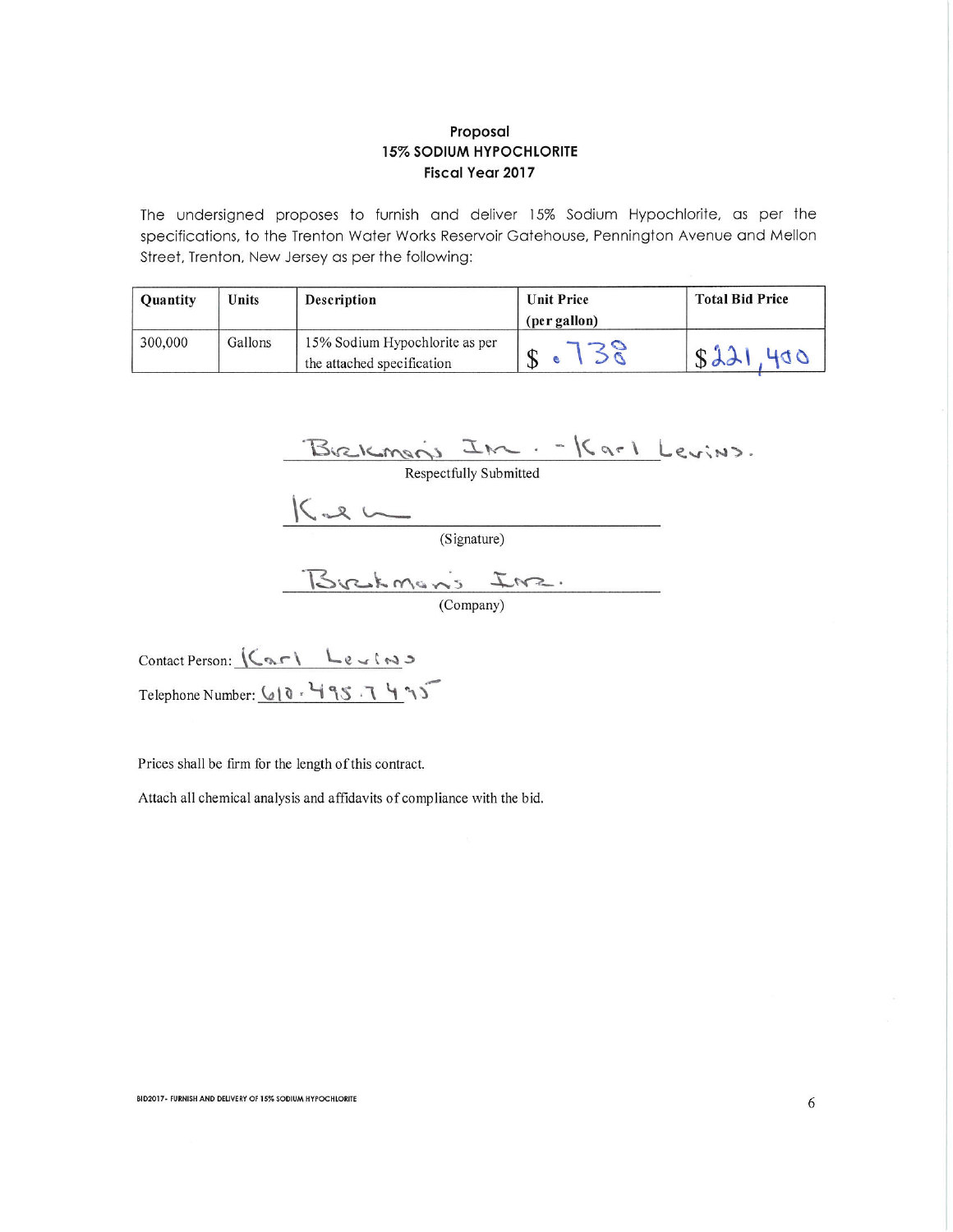The undersigned proposes to furnish and deliver 15% Sodium Hypochlorite, as per the specifications, to the Trenton Water Works Reservoir Gatehouse, Pennington Avenue and Mellon Street, Trenton, New Jersey as per the following:

| <b>Quantity</b> | Units   | <b>Description</b>                                           | <b>Unit Price</b> | <b>Total Bid Price</b> |
|-----------------|---------|--------------------------------------------------------------|-------------------|------------------------|
|                 |         |                                                              | (per gallon)      |                        |
| 300,000         | Gallons | 15% Sodium Hypochlorite as per<br>the attached specification |                   | S <sub>2</sub><br>400  |

Brekman's Inc. - Karl Levins.<br>Respectfully Submitted<br>Kal (Signature)

Contact Person: (Carl Levins Telephone Number: 610. 495.7495

Prices shall be firm for the length of this contract.

Attach all chemical analysis and affidavits of compliance with the bid.

BID2017- FURNISH AND DELIVERY OF 15% SODIUM HYPOCHLORITE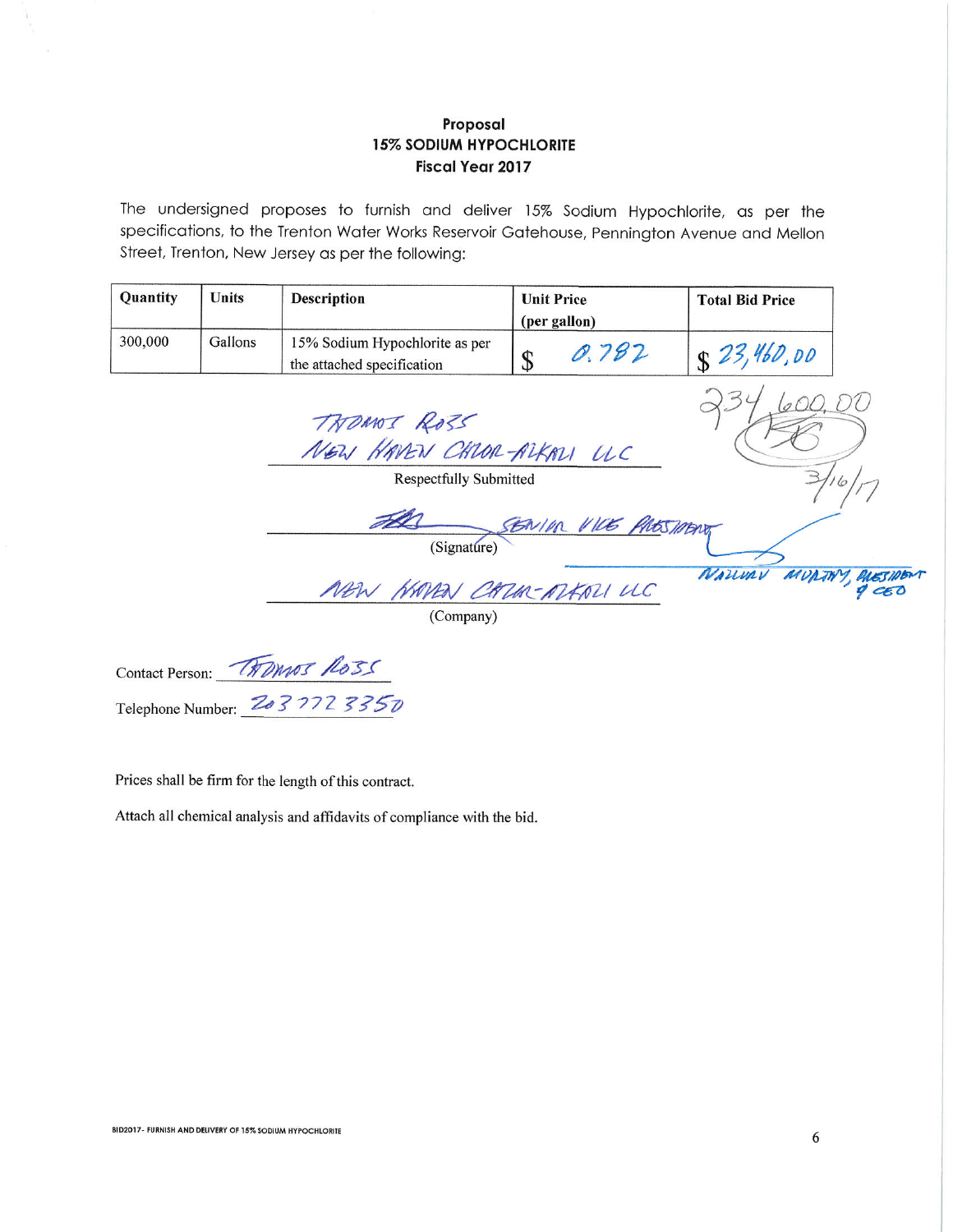The undersigned proposes to furnish and deliver 15% Sodium Hypochlorite, as per the specifications, to the Trenton Water Works Reservoir Gatehouse, Pennington Avenue and Mellon Street, Trenton, New Jersey as per the following:

| <b>Quantity</b> | Units   | <b>Description</b>                                           | <b>Unit Price</b> | <b>Total Bid Price</b> |
|-----------------|---------|--------------------------------------------------------------|-------------------|------------------------|
|                 |         |                                                              | (per gallon)      |                        |
| 300,000         | Gallons | 15% Sodium Hypochlorite as per<br>the attached specification | 0.782             | $S$ 23,460,00          |

TROMOS ROSS NEW HAVEN CHLOR-ALKALI UC

**Respectfully Submitted** 

SENIN VICE PROSTION

NEW HAVEN CATER-ATERN UC

Contact Person: THOMAS ROSS Telephone Number: 2037723350

Prices shall be firm for the length of this contract.

Attach all chemical analysis and affidavits of compliance with the bid.

NAUVAY

MUNTH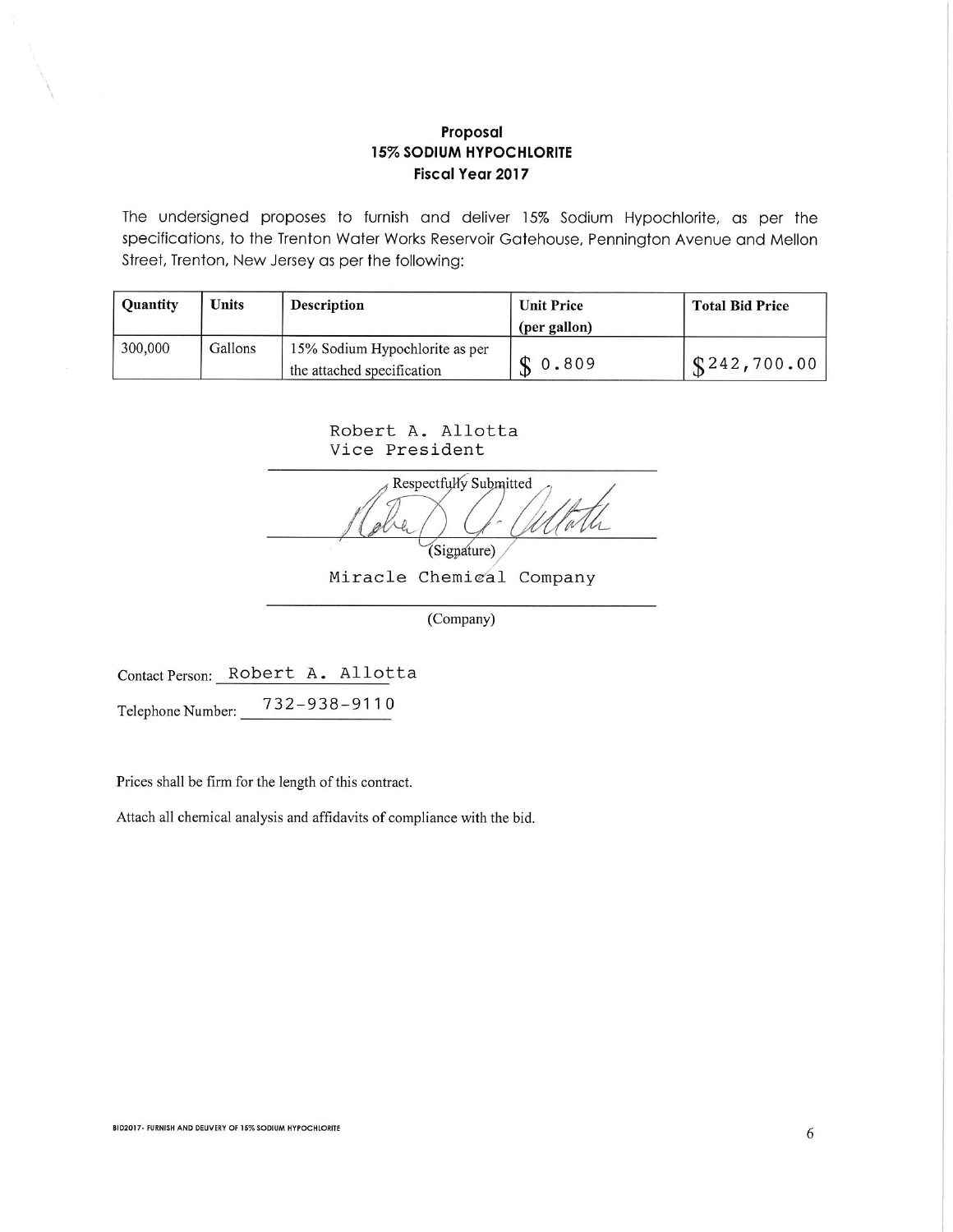The undersigned proposes to furnish and deliver 15% Sodium Hypochlorite, as per the specifications, to the Trenton Water Works Reservoir Gatehouse, Pennington Avenue and Mellon Street, Trenton, New Jersey as per the following:

| <b>Ouantity</b> | <b>Units</b> | <b>Description</b>                                           | <b>Unit Price</b> | <b>Total Bid Price</b> |
|-----------------|--------------|--------------------------------------------------------------|-------------------|------------------------|
|                 |              |                                                              | (per gallon)      |                        |
| 300,000         | Gallons      | 15% Sodium Hypochlorite as per<br>the attached specification | \$0.809           | \$242,700.00           |

Robert A. Allotta Vice President

Respectfully Submitted (Signature)

Miracle Chemical Company

(Company)

Contact Person: Robert A. Allotta 732-938-9110 Telephone Number:

Prices shall be firm for the length of this contract.

Attach all chemical analysis and affidavits of compliance with the bid.